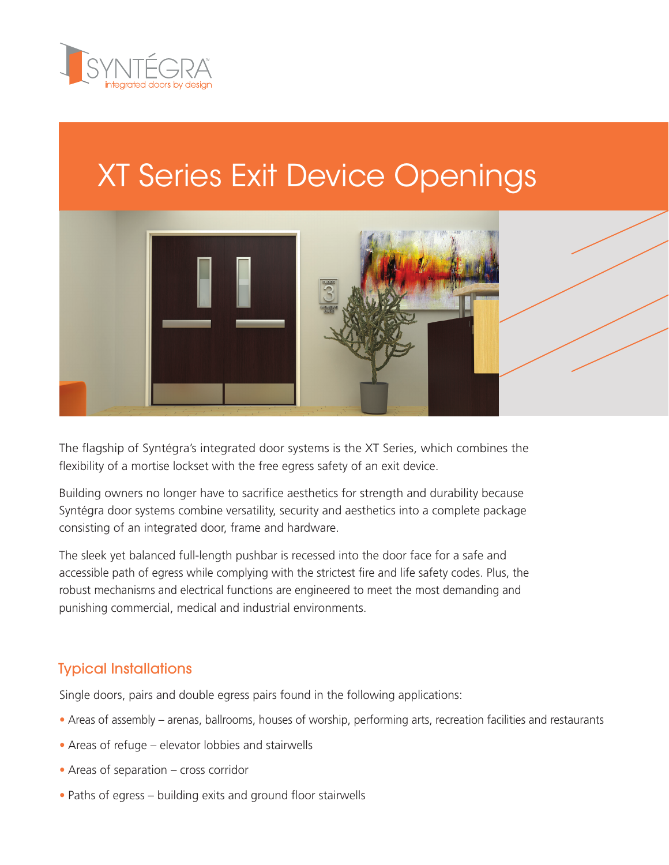

# XT Series Exit Device Openings



The flagship of Syntégra's integrated door systems is the XT Series, which combines the flexibility of a mortise lockset with the free egress safety of an exit device.

Building owners no longer have to sacrifice aesthetics for strength and durability because Syntégra door systems combine versatility, security and aesthetics into a complete package consisting of an integrated door, frame and hardware.

The sleek yet balanced full-length pushbar is recessed into the door face for a safe and accessible path of egress while complying with the strictest fire and life safety codes. Plus, the robust mechanisms and electrical functions are engineered to meet the most demanding and punishing commercial, medical and industrial environments.

### Typical Installations

Single doors, pairs and double egress pairs found in the following applications:

- **•** Areas of assembly arenas, ballrooms, houses of worship, performing arts, recreation facilities and restaurants
- **•** Areas of refuge elevator lobbies and stairwells
- **•** Areas of separation cross corridor
- **•** Paths of egress building exits and ground floor stairwells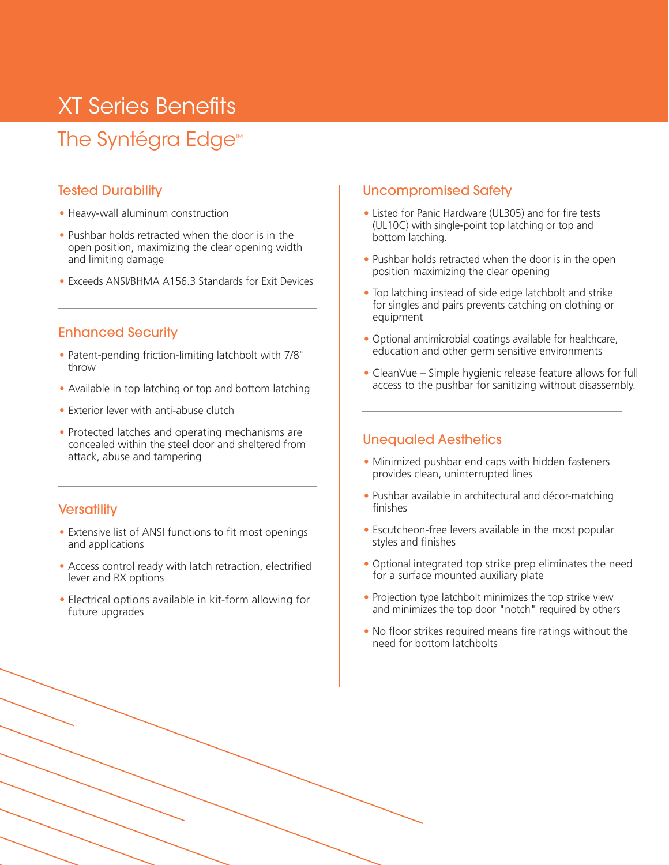## XT Series Benefits

### The Syntégra Edge<sup>™</sup>

#### Tested Durability

- **•** Heavy-wall aluminum construction
- **•** Pushbar holds retracted when the door is in the open position, maximizing the clear opening width and limiting damage
- **•** Exceeds ANSI/BHMA A156.3 Standards for Exit Devices

#### Enhanced Security

- **•** Patent-pending friction-limiting latchbolt with 7/8" throw
- **•** Available in top latching or top and bottom latching
- **•** Exterior lever with anti-abuse clutch
- **•** Protected latches and operating mechanisms are concealed within the steel door and sheltered from attack, abuse and tampering

#### **Versatility**

- **•** Extensive list of ANSI functions to fit most openings and applications
- **•** Access control ready with latch retraction, electrified lever and RX options
- **•** Electrical options available in kit-form allowing for future upgrades

#### Uncompromised Safety

- **•** Listed for Panic Hardware (UL305) and for fire tests (UL10C) with single-point top latching or top and bottom latching.
- **•** Pushbar holds retracted when the door is in the open position maximizing the clear opening
- **•** Top latching instead of side edge latchbolt and strike for singles and pairs prevents catching on clothing or equipment
- **•** Optional antimicrobial coatings available for healthcare, education and other germ sensitive environments
- **•** CleanVue Simple hygienic release feature allows for full access to the pushbar for sanitizing without disassembly.

#### Unequaled Aesthetics

- **•** Minimized pushbar end caps with hidden fasteners provides clean, uninterrupted lines
- **•** Pushbar available in architectural and décor-matching finishes
- **•** Escutcheon-free levers available in the most popular styles and finishes
- **•** Optional integrated top strike prep eliminates the need for a surface mounted auxiliary plate
- **•** Projection type latchbolt minimizes the top strike view and minimizes the top door "notch" required by others
- **•** No floor strikes required means fire ratings without the need for bottom latchbolts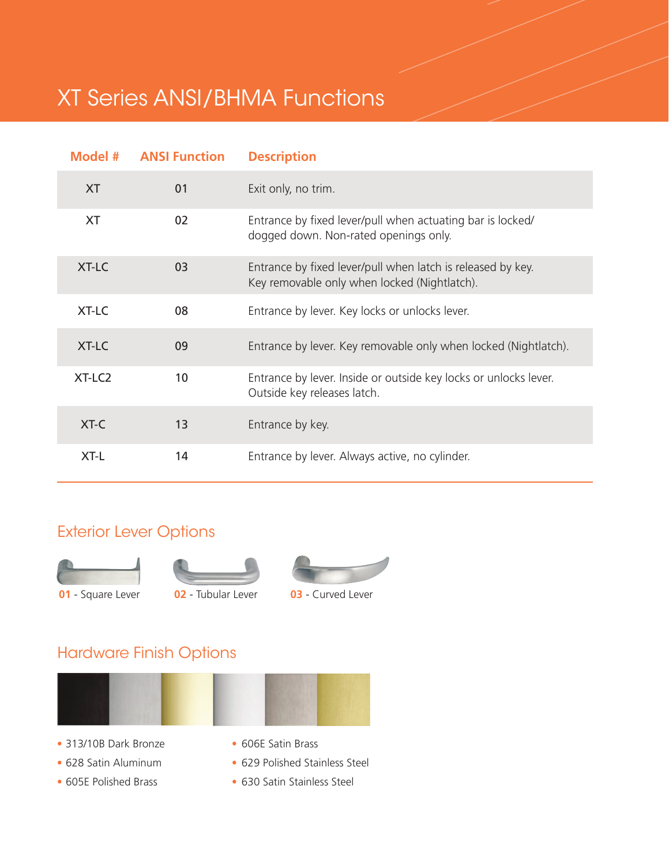## XT Series ANSI/BHMA Functions

|                    | <b>Model # ANSI Function</b> | <b>Description</b>                                                                                          |
|--------------------|------------------------------|-------------------------------------------------------------------------------------------------------------|
| <b>XT</b>          | 01                           | Exit only, no trim.                                                                                         |
| <b>XT</b>          | 02                           | Entrance by fixed lever/pull when actuating bar is locked/<br>dogged down. Non-rated openings only.         |
| <b>XT-LC</b>       | 03                           | Entrance by fixed lever/pull when latch is released by key.<br>Key removable only when locked (Nightlatch). |
| XT-LC              | 08                           | Entrance by lever. Key locks or unlocks lever.                                                              |
| XT-LC              | 09                           | Entrance by lever. Key removable only when locked (Nightlatch).                                             |
| XT-LC <sub>2</sub> | 10                           | Entrance by lever. Inside or outside key locks or unlocks lever.<br>Outside key releases latch.             |
| XT-C               | 13                           | Entrance by key.                                                                                            |
| XT-L               | 14                           | Entrance by lever. Always active, no cylinder.                                                              |

### Exterior Lever Options







**01** - Square Lever **02** - Tubular Lever **03** - Curved Lever



### Hardware Finish Options



- 
- 
- **•** 605E Polished Brass **•** 630 Satin Stainless Steel